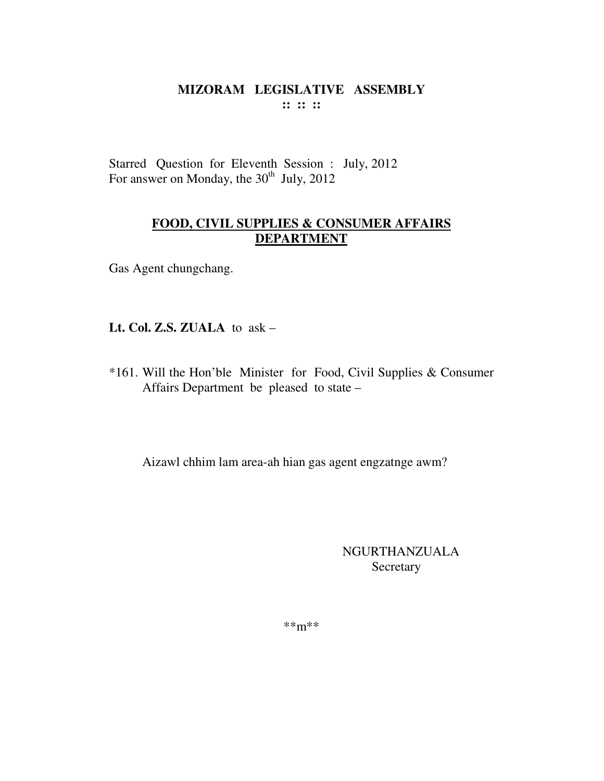Starred Question for Eleventh Session : July, 2012 For answer on Monday, the 30<sup>th</sup> July, 2012

# **FOOD, CIVIL SUPPLIES & CONSUMER AFFAIRS DEPARTMENT**

Gas Agent chungchang.

Lt. Col. Z.S. ZUALA to ask -

\*161. Will the Hon'ble Minister for Food, Civil Supplies & Consumer Affairs Department be pleased to state -

Aizawl chhim lam area-ah hian gas agent engzatnge awm?

NGURTHANZUALA Secretary

 $***m***$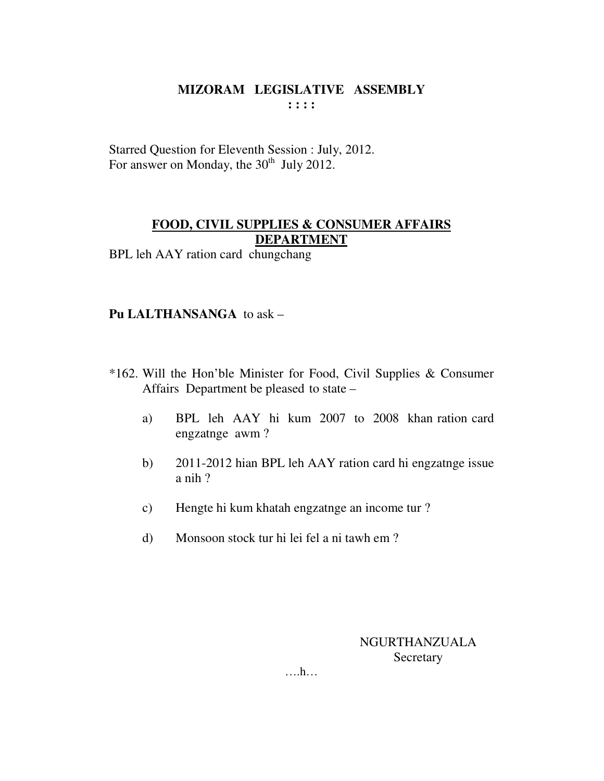Starred Question for Eleventh Session : July, 2012. For answer on Monday, the  $30<sup>th</sup>$  July 2012.

#### **FOOD, CIVIL SUPPLIES & CONSUMER AFFAIRS DEPARTMENT**

BPL leh AAY ration card chungchang

# **Pu LALTHANSANGA** to ask –

- \*162. Will the Hon'ble Minister for Food, Civil Supplies & Consumer Affairs Department be pleased to state –
	- a) BPL leh AAY hi kum 2007 to 2008 khan ration card engzatnge awm ?
	- b) 2011-2012 hian BPL leh AAY ration card hi engzatnge issue a nih ?
	- c) Hengte hi kum khatah engzatnge an income tur ?
	- d) Monsoon stock tur hi lei fel a ni tawh em ?

NGURTHANZUALA **Secretary**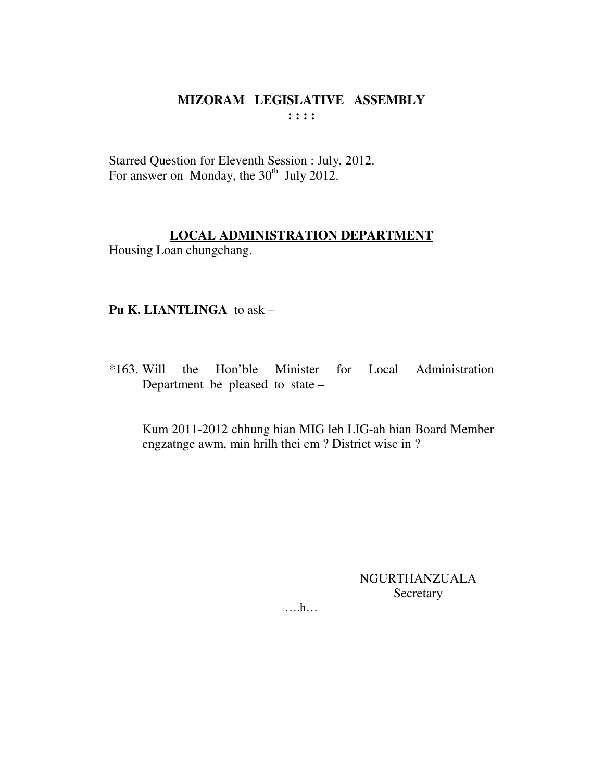#### MIZORAM LEGISLATIVE ASSEMBLY  $\mathbf{1}$   $\mathbf{1}$   $\mathbf{1}$   $\mathbf{1}$

Starred Question for Eleventh Session : July, 2012. For answer on Monday, the 30<sup>th</sup> July 2012.

# **LOCAL ADMINISTRATION DEPARTMENT**

Housing Loan chungchang.

# Pu K. LIANTLINGA to ask -

 $*163$ . Will the Hon'ble Minister for Local Administration Department be pleased to state  $-$ 

Kum 2011-2012 chhung hian MIG leh LIG-ah hian Board Member engzatnge awm, min hrilh thei em ? District wise in ?

# **NGURTHANZUALA** Secretary

 $\dots$ ...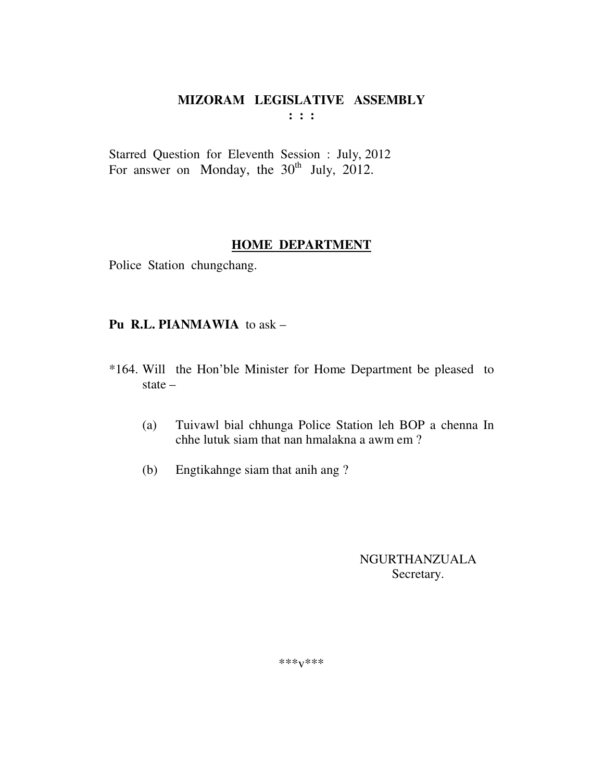#### MIZORAM LEGISLATIVE ASSEMBLY  $\mathbf{1}$   $\mathbf{1}$   $\mathbf{1}$

Starred Question for Eleventh Session : July, 2012 For answer on Monday, the 30<sup>th</sup> July, 2012.

#### **HOME DEPARTMENT**

Police Station chungchang.

### Pu R.L. PIANMAWIA to ask -

- \*164. Will the Hon'ble Minister for Home Department be pleased to state  $-$ 
	- Tuivawl bial chhunga Police Station leh BOP a chenna In  $(a)$ chhe lutuk siam that nan hmalakna a awm em?
	- $(b)$ Engtikahnge siam that anih ang?

## **NGURTHANZUALA** Secretary.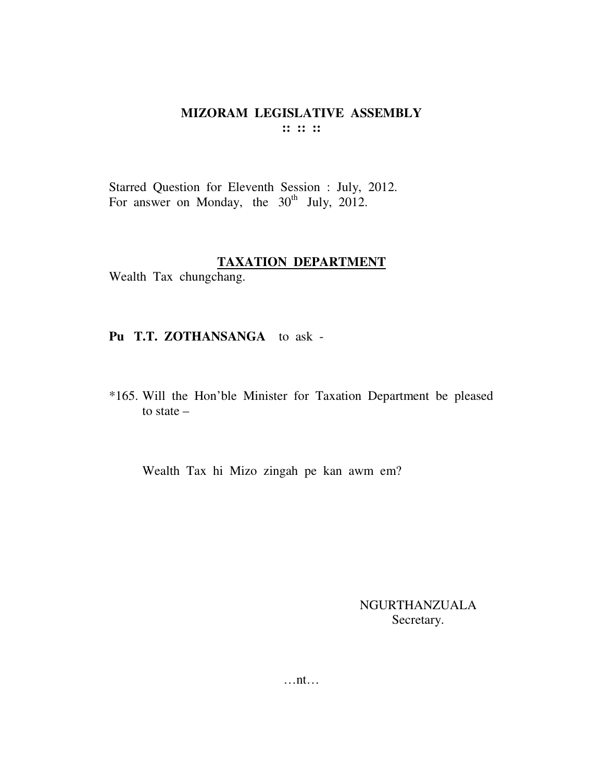Starred Question for Eleventh Session : July, 2012. For answer on Monday, the 30<sup>th</sup> July, 2012.

#### **TAXATION DEPARTMENT**

Wealth Tax chungchang.

#### Pu T.T. ZOTHANSANGA to ask -

\*165. Will the Hon'ble Minister for Taxation Department be pleased to state  $-$ 

Wealth Tax hi Mizo zingah pe kan awm em?

NGURTHANZUALA Secretary.

 $\dots$ nt $\dots$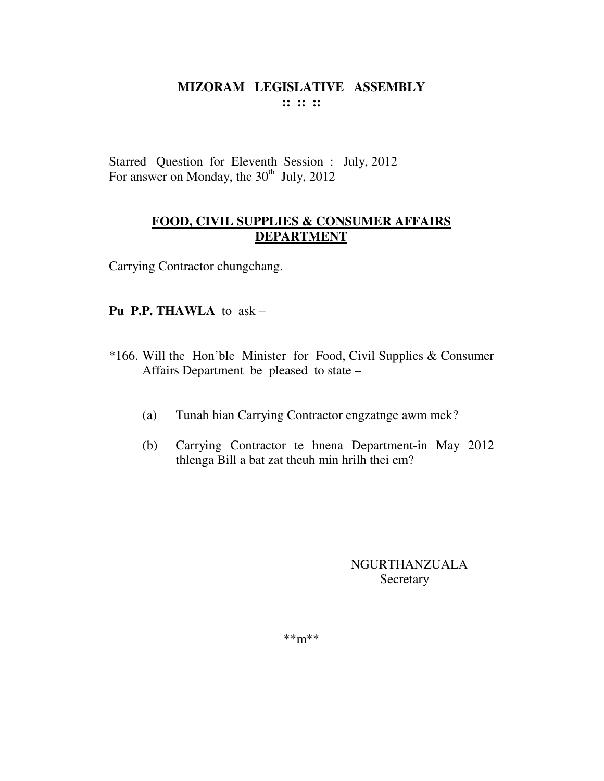Starred Question for Eleventh Session : July, 2012 For answer on Monday, the  $30<sup>th</sup>$  July, 2012

# **FOOD, CIVIL SUPPLIES & CONSUMER AFFAIRS DEPARTMENT**

Carrying Contractor chungchang.

# **Pu P.P. THAWLA** to  $ask -$

- \*166. Will the Hon'ble Minister for Food, Civil Supplies & Consumer Affairs Department be pleased to state –
	- $(a)$ Tunah hian Carrying Contractor engzatnge awm mek?
	- $(b)$ Carrying Contractor te hnena Department-in May 2012 thlenga Bill a bat zat theuh min hrilh thei em?

**NGURTHANZUALA** Secretary

 $***m***$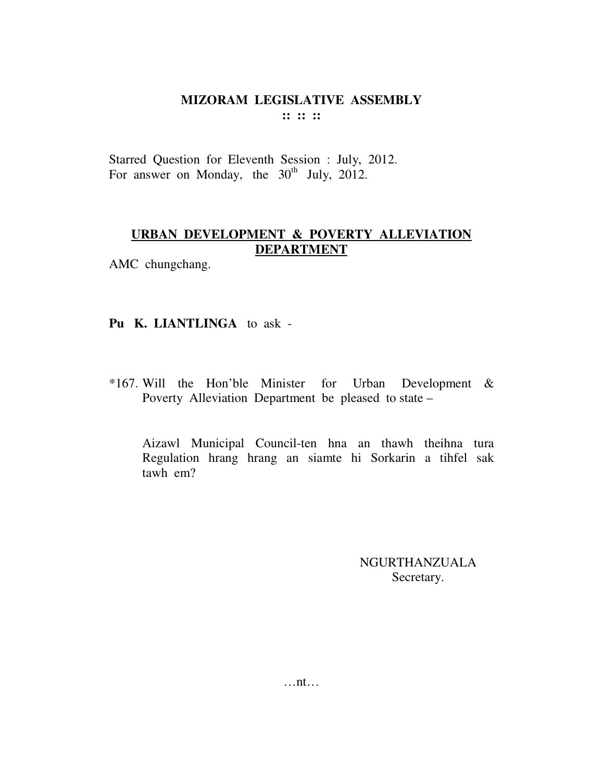#### MIZORAM LEGISLATIVE ASSEMBLY  $\mathbf{11} \mathbf{11} \mathbf{11}$

Starred Question for Eleventh Session : July, 2012. For answer on Monday, the 30<sup>th</sup> July, 2012.

# URBAN DEVELOPMENT & POVERTY ALLEVIATION **DEPARTMENT**

AMC chungchang.

#### Pu K. LIANTLINGA to ask -

\*167. Will the Hon'ble Minister for Urban Development & Poverty Alleviation Department be pleased to state -

Aizawl Municipal Council-ten hna an thawh theihna tura Regulation hrang hrang an siamte hi Sorkarin a tihfel sak tawh em?

> **NGURTHANZUALA** Secretary.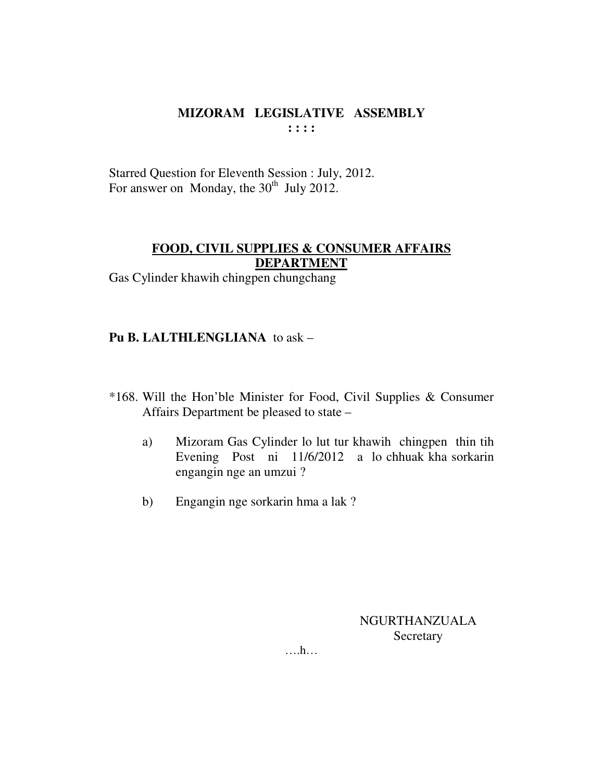Starred Question for Eleventh Session : July, 2012. For answer on Monday, the  $30<sup>th</sup>$  July 2012.

# **FOOD, CIVIL SUPPLIES & CONSUMER AFFAIRS DEPARTMENT**

Gas Cylinder khawih chingpen chungchang

#### **Pu B. LALTHLENGLIANA** to ask –

- \*168. Will the Hon'ble Minister for Food, Civil Supplies & Consumer Affairs Department be pleased to state –
	- a) Mizoram Gas Cylinder lo lut tur khawih chingpen thin tih Evening Post ni 11/6/2012 a lo chhuak kha sorkarin engangin nge an umzui ?
	- b) Engangin nge sorkarin hma a lak ?

NGURTHANZUALA Secretary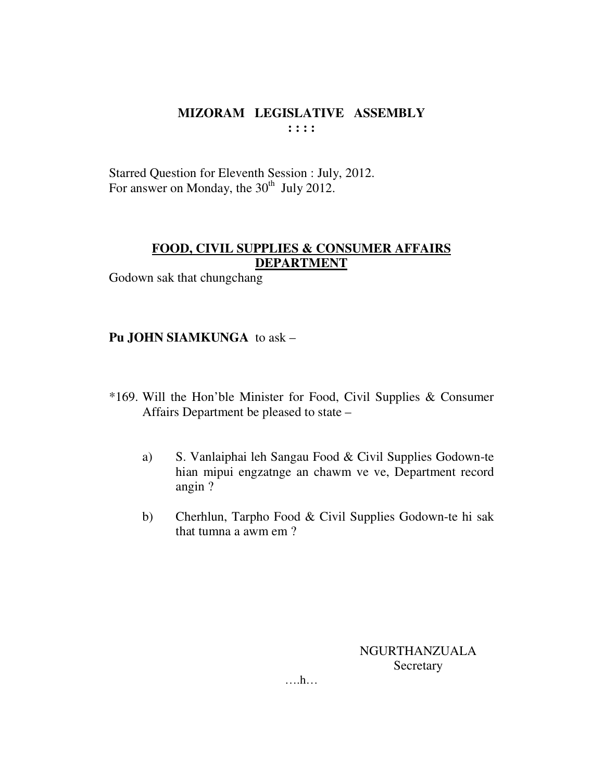Starred Question for Eleventh Session : July, 2012. For answer on Monday, the 30<sup>th</sup> July 2012.

# **FOOD, CIVIL SUPPLIES & CONSUMER AFFAIRS DEPARTMENT**

Godown sak that chungchang

#### Pu JOHN SIAMKUNGA to ask -

- \*169. Will the Hon'ble Minister for Food, Civil Supplies & Consumer Affairs Department be pleased to state –
	- $a)$ S. Vanlaiphai leh Sangau Food & Civil Supplies Godown-te hian mipui engzatnge an chawm ve ve, Department record angin?
	- Cherhlun, Tarpho Food & Civil Supplies Godown-te hi sak  $b)$ that tumna a awm em?

NGURTHANZUALA Secretary

 $\dots h\dots$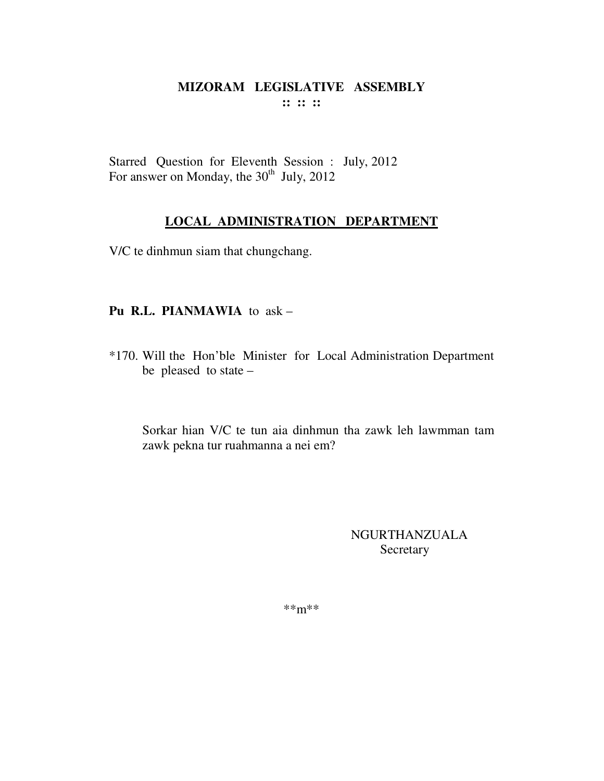Starred Question for Eleventh Session : July, 2012 For answer on Monday, the  $30<sup>th</sup>$  July, 2012

# **LOCAL ADMINISTRATION DEPARTMENT**

V/C te dinhmun siam that chungchang.

# **Pu R.L. PIANMAWIA** to ask –

\*170. Will the Hon'ble Minister for Local Administration Department be pleased to state –

Sorkar hian V/C te tun aia dinhmun tha zawk leh lawmman tam zawk pekna tur ruahmanna a nei em?

> NGURTHANZUALA Secretary

\*\*m\*\*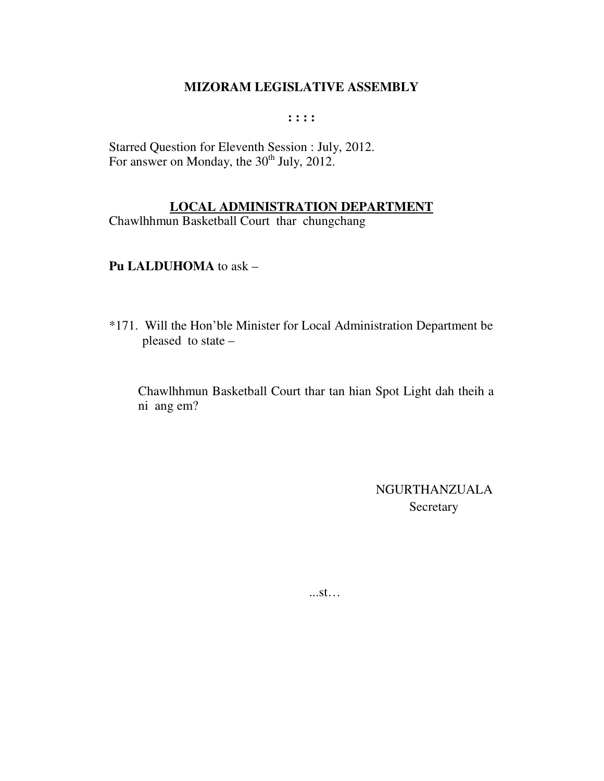**: : : :** 

Starred Question for Eleventh Session : July, 2012. For answer on Monday, the  $30<sup>th</sup>$  July, 2012.

#### **LOCAL ADMINISTRATION DEPARTMENT**

Chawlhhmun Basketball Court thar chungchang

#### **Pu LALDUHOMA** to ask –

\*171. Will the Hon'ble Minister for Local Administration Department be pleased to state –

Chawlhhmun Basketball Court thar tan hian Spot Light dah theih a ni ang em?

> NGURTHANZUALA Secretary

...st…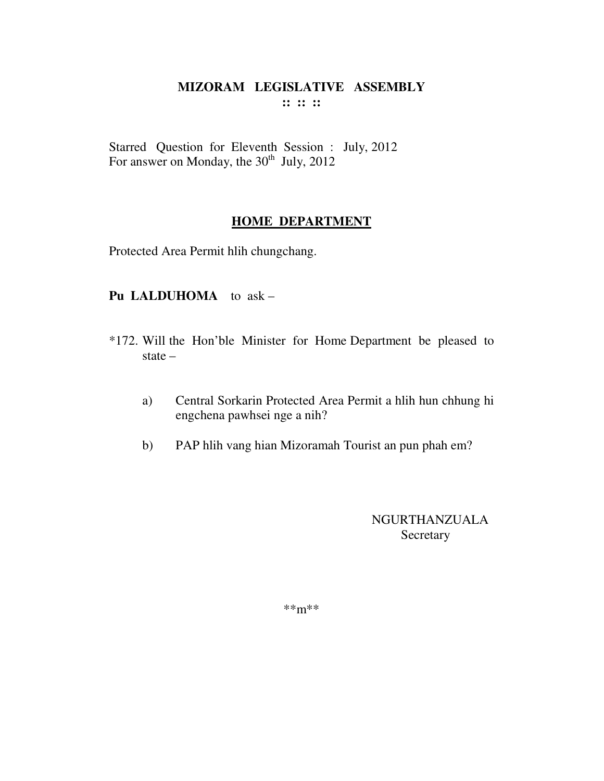Starred Question for Eleventh Session : July, 2012 For answer on Monday, the 30<sup>th</sup> July, 2012

# **HOME DEPARTMENT**

Protected Area Permit hlih chungchang.

#### Pu LALDUHOMA to ask -

- \*172. Will the Hon'ble Minister for Home Department be pleased to state  $-$ 
	- Central Sorkarin Protected Area Permit a hlih hun chhung hi a) engchena pawhsei nge a nih?
	- PAP hlih vang hian Mizoramah Tourist an pun phah em?  $b)$

**NGURTHANZUALA** Secretary

 $***m***$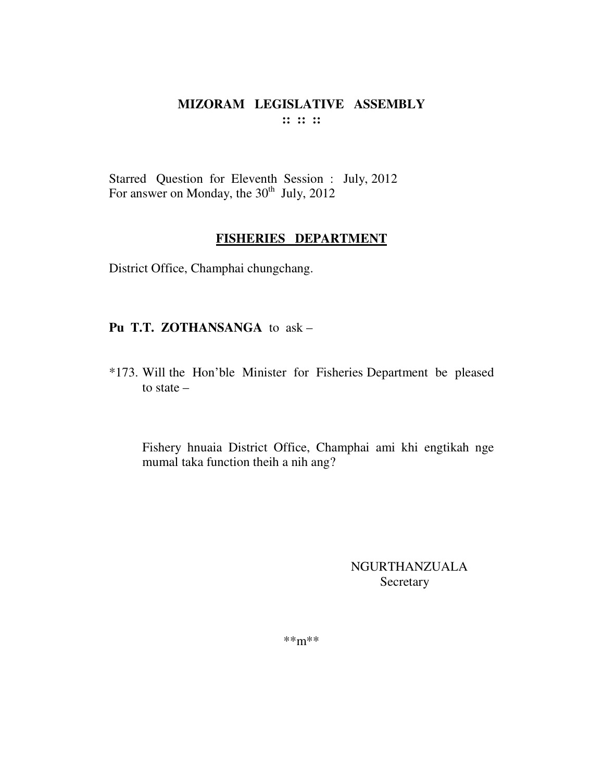Starred Question for Eleventh Session : July, 2012 For answer on Monday, the  $30<sup>th</sup>$  July, 2012

#### **FISHERIES DEPARTMENT**

District Office, Champhai chungchang.

# **Pu T.T. ZOTHANSANGA** to ask –

\*173. Will the Hon'ble Minister for Fisheries Department be pleased to state –

Fishery hnuaia District Office, Champhai ami khi engtikah nge mumal taka function theih a nih ang?

> NGURTHANZUALA Secretary

\*\*m\*\*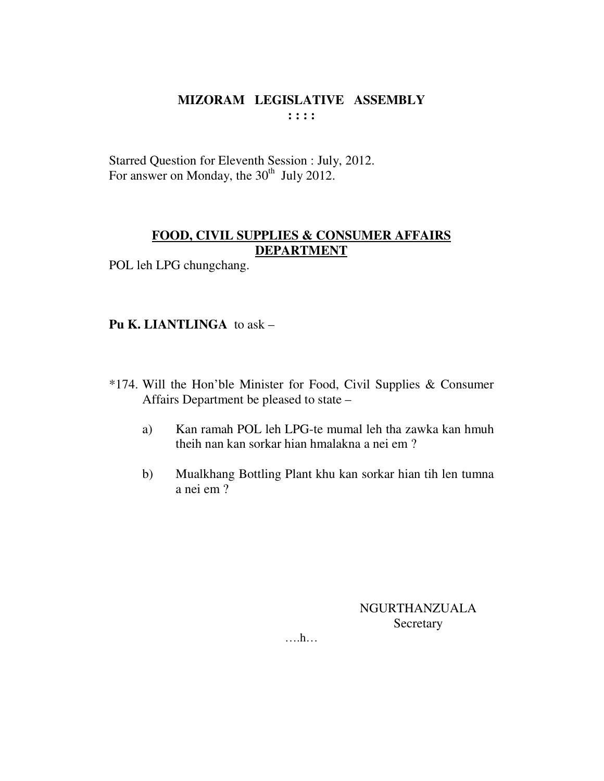Starred Question for Eleventh Session : July, 2012. For answer on Monday, the  $30<sup>th</sup>$  July 2012.

# **FOOD, CIVIL SUPPLIES & CONSUMER AFFAIRS DEPARTMENT**

POL leh LPG chungchang.

# **Pu K. LIANTLINGA** to ask –

- \*174. Will the Hon'ble Minister for Food, Civil Supplies & Consumer Affairs Department be pleased to state –
	- a) Kan ramah POL leh LPG-te mumal leh tha zawka kan hmuh theih nan kan sorkar hian hmalakna a nei em ?
	- b) Mualkhang Bottling Plant khu kan sorkar hian tih len tumna a nei em ?

NGURTHANZUALA Secretary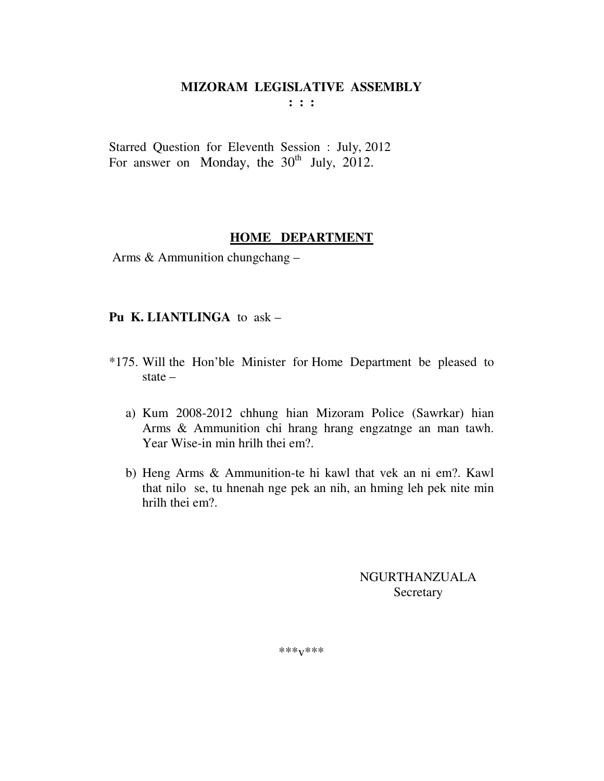$: : :$ 

Starred Question for Eleventh Session : July, 2012 For answer on Monday, the  $30<sup>th</sup>$  July, 2012.

#### HOME DEPARTMENT

Arms & Ammunition chungchang -

#### Pu K. LIANTLINGA to ask -

- \*175. Will the Hon'ble Minister for Home Department be pleased to state  $$ 
	- a) Kum 2008-2012 chhung hian Mizoram Police (Sawrkar) hian Arms & Ammunition chi hrang hrang engzatnge an man tawh. Year Wise-in min hrilh thei em?.
	- b) Heng Arms & Ammunition-te hi kawl that vek an ni em?. Kawl that nilo se, tu hnenah nge pek an nih, an hming leh pek nite min hrilh thei em?

**NGURTHANZUALA** Secretary

\*\*\* $V$ \*\*\*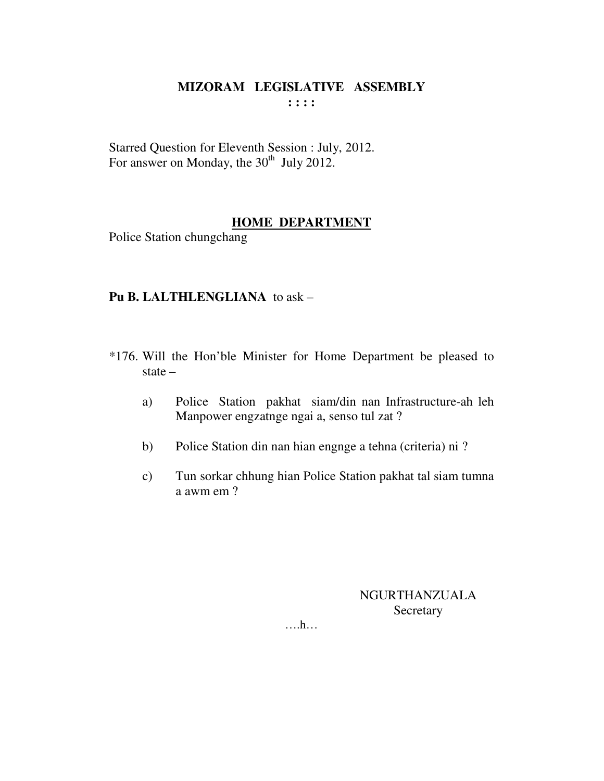Starred Question for Eleventh Session : July, 2012. For answer on Monday, the  $30<sup>th</sup>$  July 2012.

#### **HOME DEPARTMENT**

Police Station chungchang

#### **Pu B. LALTHLENGLIANA** to ask –

- \*176. Will the Hon'ble Minister for Home Department be pleased to state –
	- a) Police Station pakhat siam/din nan Infrastructure-ah leh Manpower engzatnge ngai a, senso tul zat ?
	- b) Police Station din nan hian engnge a tehna (criteria) ni ?
	- c) Tun sorkar chhung hian Police Station pakhat tal siam tumna a awm em ?

NGURTHANZUALA Secretary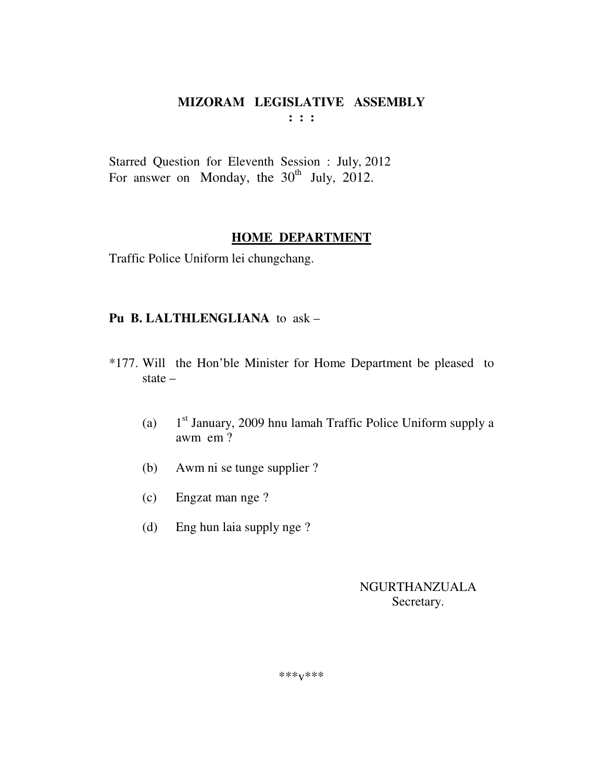**: : :** 

Starred Question for Eleventh Session : July, 2012 For answer on Monday, the  $30<sup>th</sup>$  July, 2012.

# **HOME DEPARTMENT**

Traffic Police Uniform lei chungchang.

# **Pu B. LALTHLENGLIANA** to ask –

- \*177. Will the Hon'ble Minister for Home Department be pleased to state –
	- $(a)$  $1<sup>st</sup>$  January, 2009 hnu lamah Traffic Police Uniform supply a awm em ?
	- (b) Awm ni se tunge supplier ?
	- (c) Engzat man nge ?
	- (d) Eng hun laia supply nge ?

NGURTHANZUALA Secretary.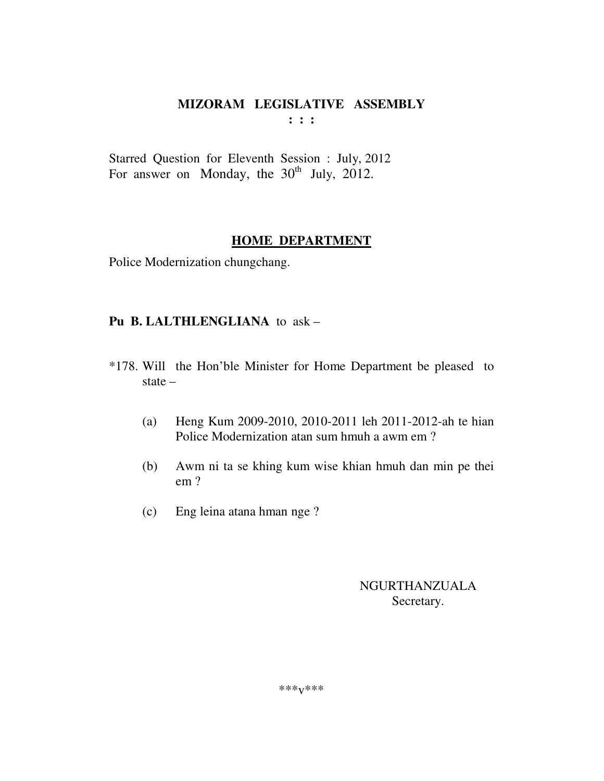**: : :** 

Starred Question for Eleventh Session : July, 2012 For answer on Monday, the  $30<sup>th</sup>$  July, 2012.

# **HOME DEPARTMENT**

Police Modernization chungchang.

# **Pu B. LALTHLENGLIANA** to ask –

- \*178. Will the Hon'ble Minister for Home Department be pleased to state –
	- (a) Heng Kum 2009-2010, 2010-2011 leh 2011-2012-ah te hian Police Modernization atan sum hmuh a awm em ?
	- (b) Awm ni ta se khing kum wise khian hmuh dan min pe thei em ?
	- (c) Eng leina atana hman nge ?

# NGURTHANZUALA Secretary.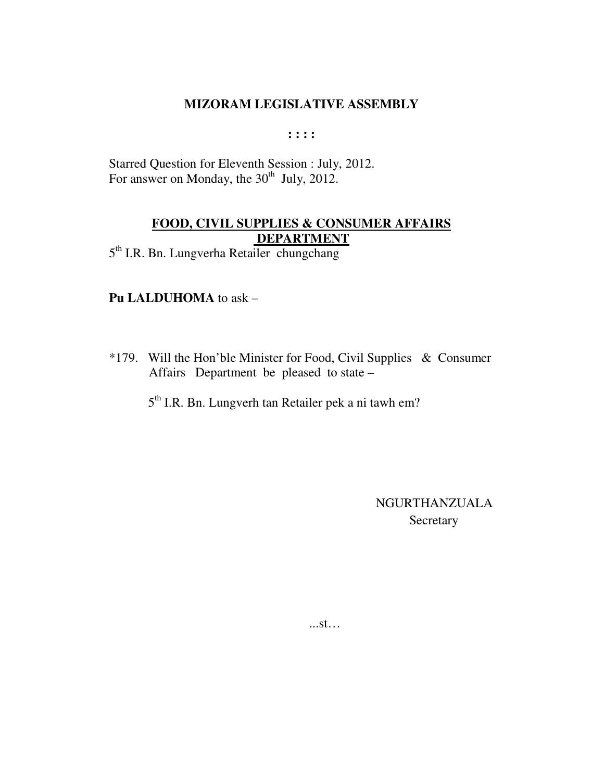$: : : :$ 

Starred Question for Eleventh Session : July, 2012. For answer on Monday, the  $30<sup>th</sup>$  July, 2012.

# **FOOD, CIVIL SUPPLIES & CONSUMER AFFAIRS DEPARTMENT**

5<sup>th</sup> I.R. Bn. Lungverha Retailer chungchang

#### Pu LALDUHOMA to ask -

\*179. Will the Hon'ble Minister for Food, Civil Supplies & Consumer Affairs Department be pleased to state -

5<sup>th</sup> I.R. Bn. Lungverh tan Retailer pek a ni tawh em?

**NGURTHANZUALA** Secretary

 $...st...$